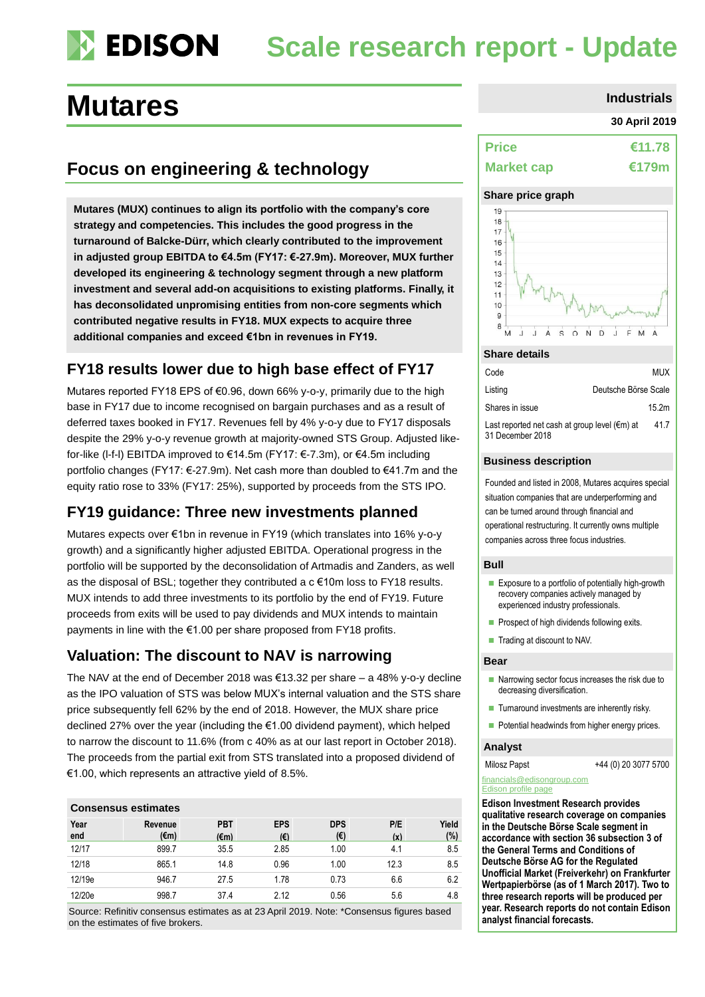### **DEDISON Scale research report - Update**

# **Mutares Industrials**

## **Focus on engineering & technology**

**Mutares (MUX) continues to align its portfolio with the company's core strategy and competencies. This includes the good progress in the turnaround of Balcke-Dürr, which clearly contributed to the improvement in adjusted group EBITDA to €4.5m (FY17: €-27.9m). Moreover, MUX further developed its engineering & technology segment through a new platform investment and several add-on acquisitions to existing platforms. Finally, it has deconsolidated unpromising entities from non-core segments which contributed negative results in FY18. MUX expects to acquire three additional companies and exceed €1bn in revenues in FY19.**

### **FY18 results lower due to high base effect of FY17**

Mutares reported FY18 EPS of €0.96, down 66% y-o-y, primarily due to the high base in FY17 due to income recognised on bargain purchases and as a result of deferred taxes booked in FY17. Revenues fell by 4% y-o-y due to FY17 disposals despite the 29% y-o-y revenue growth at majority-owned STS Group. Adjusted likefor-like (l-f-l) EBITDA improved to €14.5m (FY17: €-7.3m), or €4.5m including portfolio changes (FY17: €-27.9m). Net cash more than doubled to €41.7m and the equity ratio rose to 33% (FY17: 25%), supported by proceeds from the STS IPO.

### **FY19 guidance: Three new investments planned**

Mutares expects over €1bn in revenue in FY19 (which translates into 16% y-o-y growth) and a significantly higher adjusted EBITDA. Operational progress in the portfolio will be supported by the deconsolidation of Artmadis and Zanders, as well as the disposal of BSL; together they contributed a  $c \in 10m$  loss to FY18 results. MUX intends to add three investments to its portfolio by the end of FY19. Future proceeds from exits will be used to pay dividends and MUX intends to maintain payments in line with the €1.00 per share proposed from FY18 profits.

### **Valuation: The discount to NAV is narrowing**

The NAV at the end of December 2018 was  $\epsilon$ 13.32 per share – a 48% y-o-y decline as the IPO valuation of STS was below MUX's internal valuation and the STS share price subsequently fell 62% by the end of 2018. However, the MUX share price declined 27% over the year (including the €1.00 dividend payment), which helped to narrow the discount to 11.6% (from c 40% as at our last report in October 2018). The proceeds from the partial exit from STS translated into a proposed dividend of €1.00, which represents an attractive yield of 8.5%.

| <b>Consensus estimates</b> |                 |                    |                   |                   |            |              |  |  |
|----------------------------|-----------------|--------------------|-------------------|-------------------|------------|--------------|--|--|
| Year<br>end                | Revenue<br>(€m) | <b>PBT</b><br>(€m) | <b>EPS</b><br>(€) | <b>DPS</b><br>(€) | P/E<br>(x) | Yield<br>(%) |  |  |
| 12/17                      | 899.7           | 35.5               | 2.85              | 1.00              | 4.1        | 8.5          |  |  |
| 12/18                      | 865.1           | 14.8               | 0.96              | 1.00              | 12.3       | 8.5          |  |  |
| 12/19e                     | 946.7           | 27.5               | 1.78              | 0.73              | 6.6        | 6.2          |  |  |
| 12/20e                     | 998.7           | 37.4               | 2.12              | 0.56              | 5.6        | 4.8          |  |  |

Source: Refinitiv consensus estimates as at 23 April 2019. Note: \*Consensus figures based on the estimates of five brokers.

#### **30 April 2019**

| <b>Price</b>      | €11.78 |
|-------------------|--------|
| <b>Market cap</b> | €179m  |

### **Share price graph**



#### **Share details**

| Code                                                              | <b>MUX</b>           |
|-------------------------------------------------------------------|----------------------|
| Listing                                                           | Deutsche Börse Scale |
| Shares in issue                                                   | 15.2m                |
| Last reported net cash at group level (€m) at<br>31 December 2018 | 41.7                 |

#### **Business description**

Founded and listed in 2008, Mutares acquires special situation companies that are underperforming and can be turned around through financial and operational restructuring. It currently owns multiple companies across three focus industries.

#### **Bull**

- **Exposure to a portfolio of potentially high-growth** recovery companies actively managed by experienced industry professionals.
- Prospect of high dividends following exits.
- Trading at discount to NAV.

#### **Bear**

- $\blacksquare$  Narrowing sector focus increases the risk due to decreasing diversification.
- $\blacksquare$  Turnaround investments are inherently risky.
- Potential headwinds from higher energy prices.

#### **Analyst**

Milosz Papst +44 (0) 20 3077 5700

#### financials@edisongroup.com Edison profile page

**Edison Investment Research provides qualitative research coverage on companies in the Deutsche Börse Scale segment in accordance with section 36 subsection 3 of the General Terms and Conditions of Deutsche Börse AG for the Regulated Unofficial Market (Freiverkehr) on Frankfurter Wertpapierbörse (as of 1 March 2017). Two to three research reports will be produced per year. Research reports do not contain Edison analyst financial forecasts.**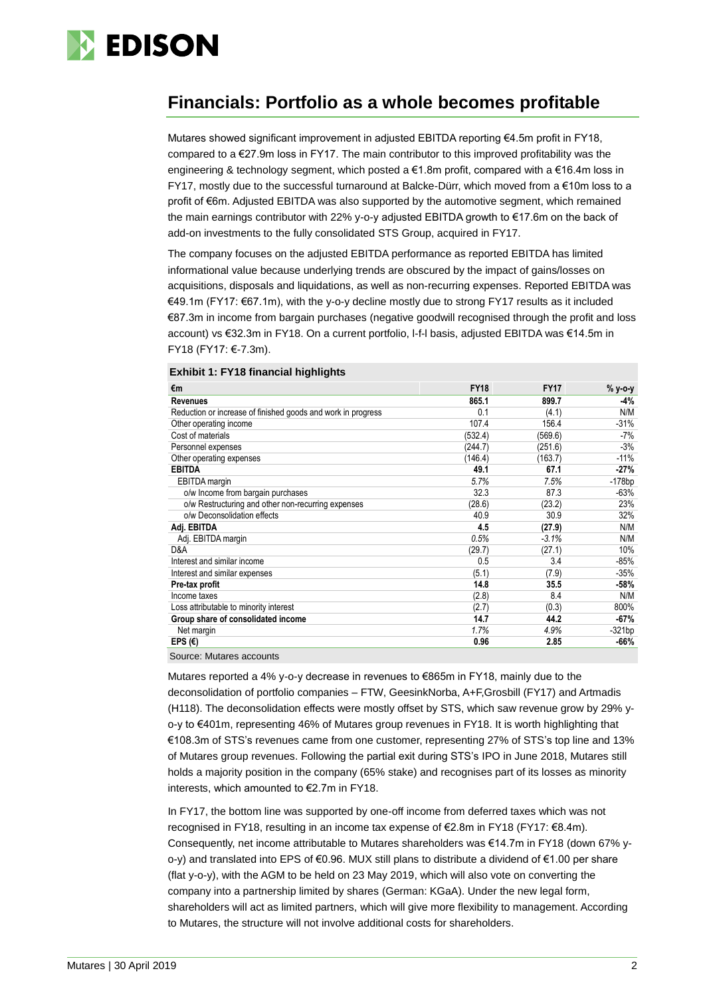

### **Financials: Portfolio as a whole becomes profitable**

Mutares showed significant improvement in adjusted EBITDA reporting €4.5m profit in FY18, compared to  $a \in 27.9$ m loss in FY17. The main contributor to this improved profitability was the engineering & technology segment, which posted a €1.8m profit, compared with a €16.4m loss in FY17, mostly due to the successful turnaround at Balcke-Dürr, which moved from a €10m loss to a profit of €6m. Adjusted EBITDA was also supported by the automotive segment, which remained the main earnings contributor with 22% y-o-y adjusted EBITDA growth to €17.6m on the back of add-on investments to the fully consolidated STS Group, acquired in FY17.

The company focuses on the adjusted EBITDA performance as reported EBITDA has limited informational value because underlying trends are obscured by the impact of gains/losses on acquisitions, disposals and liquidations, as well as non-recurring expenses. Reported EBITDA was €49.1m (FY17: €67.1m), with the y-o-y decline mostly due to strong FY17 results as it included €87.3m in income from bargain purchases (negative goodwill recognised through the profit and loss account) vs €32.3m in FY18. On a current portfolio, l-f-l basis, adjusted EBITDA was €14.5m in FY18 (FY17: €-7.3m).

|  |  |  |  | Exhibit 1: FY18 financial highlights |
|--|--|--|--|--------------------------------------|
|--|--|--|--|--------------------------------------|

| €m                                                           | <b>FY18</b> | <b>FY17</b> | % y-o-y  |
|--------------------------------------------------------------|-------------|-------------|----------|
| <b>Revenues</b>                                              | 865.1       | 899.7       | $-4%$    |
| Reduction or increase of finished goods and work in progress | 0.1         | (4.1)       | N/M      |
| Other operating income                                       | 107.4       | 156.4       | $-31%$   |
| Cost of materials                                            | (532.4)     | (569.6)     | -7%      |
| Personnel expenses                                           | (244.7)     | (251.6)     | $-3%$    |
| Other operating expenses                                     | (146.4)     | (163.7)     | $-11%$   |
| <b>EBITDA</b>                                                | 49.1        | 67.1        | $-27%$   |
| <b>EBITDA</b> margin                                         | 5.7%        | 7.5%        | $-178bp$ |
| o/w Income from bargain purchases                            | 32.3        | 87.3        | $-63%$   |
| o/w Restructuring and other non-recurring expenses           | (28.6)      | (23.2)      | 23%      |
| o/w Deconsolidation effects                                  | 40.9        | 30.9        | 32%      |
| Adj. EBITDA                                                  | 4.5         | (27.9)      | N/M      |
| Adj. EBITDA margin                                           | 0.5%        | $-3.1%$     | N/M      |
| D&A                                                          | (29.7)      | (27.1)      | 10%      |
| Interest and similar income                                  | 0.5         | 3.4         | $-85%$   |
| Interest and similar expenses                                | (5.1)       | (7.9)       | $-35%$   |
| Pre-tax profit                                               | 14.8        | 35.5        | $-58%$   |
| Income taxes                                                 | (2.8)       | 8.4         | N/M      |
| Loss attributable to minority interest                       | (2.7)       | (0.3)       | 800%     |
| Group share of consolidated income                           | 14.7        | 44.2        | $-67%$   |
| Net margin                                                   | 1.7%        | 4.9%        | $-321bp$ |
| EPS $(€)$                                                    | 0.96        | 2.85        | $-66%$   |

Source: Mutares accounts

Mutares reported a 4% y-o-y decrease in revenues to €865m in FY18, mainly due to the deconsolidation of portfolio companies – FTW, GeesinkNorba, A+F,Grosbill (FY17) and Artmadis (H118). The deconsolidation effects were mostly offset by STS, which saw revenue grow by 29% yo-y to €401m, representing 46% of Mutares group revenues in FY18. It is worth highlighting that €108.3m of STS's revenues came from one customer, representing 27% of STS's top line and 13% of Mutares group revenues. Following the partial exit during STS's IPO in June 2018, Mutares still holds a majority position in the company (65% stake) and recognises part of its losses as minority interests, which amounted to €2.7m in FY18.

In FY17, the bottom line was supported by one-off income from deferred taxes which was not recognised in FY18, resulting in an income tax expense of €2.8m in FY18 (FY17: €8.4m). Consequently, net income attributable to Mutares shareholders was €14.7m in FY18 (down 67% yo-y) and translated into EPS of €0.96. MUX still plans to distribute a dividend of €1.00 per share (flat y-o-y), with the AGM to be held on 23 May 2019, which will also vote on converting the company into a partnership limited by shares (German: KGaA). Under the new legal form, shareholders will act as limited partners, which will give more flexibility to management. According to Mutares, the structure will not involve additional costs for shareholders.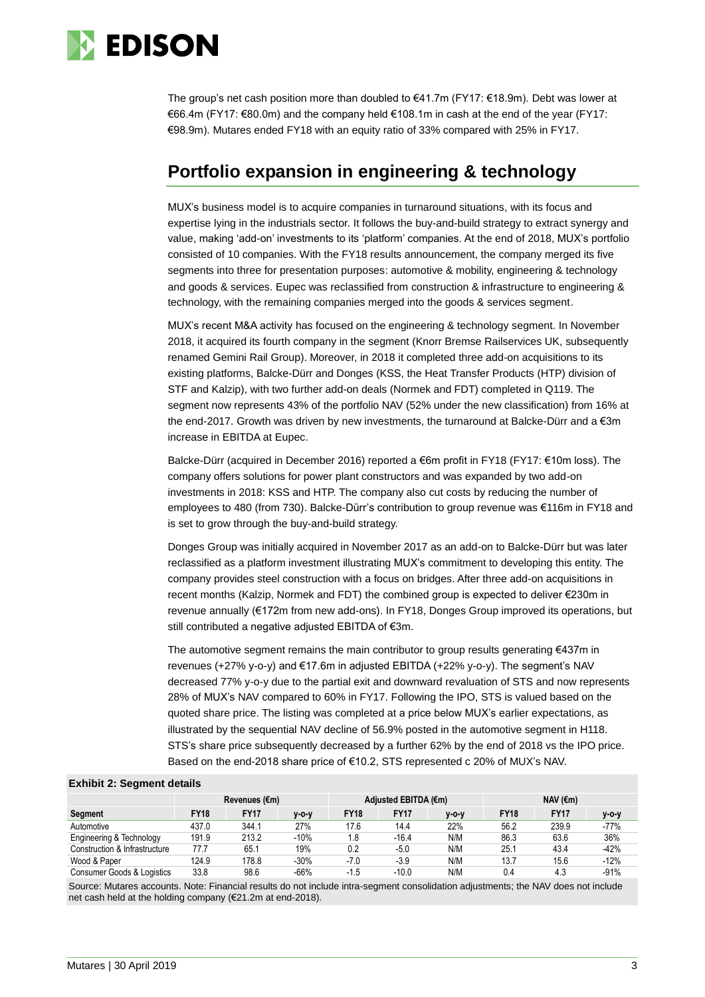

The group's net cash position more than doubled to €41.7m (FY17: €18.9m). Debt was lower at €66.4m (FY17: €80.0m) and the company held €108.1m in cash at the end of the year (FY17: €98.9m). Mutares ended FY18 with an equity ratio of 33% compared with 25% in FY17.

### **Portfolio expansion in engineering & technology**

MUX's business model is to acquire companies in turnaround situations, with its focus and expertise lying in the industrials sector. It follows the buy-and-build strategy to extract synergy and value, making 'add-on' investments to its 'platform' companies. At the end of 2018, MUX's portfolio consisted of 10 companies. With the FY18 results announcement, the company merged its five segments into three for presentation purposes: automotive & mobility, engineering & technology and goods & services. Eupec was reclassified from construction & infrastructure to engineering & technology, with the remaining companies merged into the goods & services segment.

MUX's recent M&A activity has focused on the engineering & technology segment. In November 2018, it acquired its fourth company in the segment (Knorr Bremse Railservices UK, subsequently renamed Gemini Rail Group). Moreover, in 2018 it completed three add-on acquisitions to its existing platforms, Balcke-Dürr and Donges (KSS, the Heat Transfer Products (HTP) division of STF and Kalzip), with two further add-on deals (Normek and FDT) completed in Q119. The segment now represents 43% of the portfolio NAV (52% under the new classification) from 16% at the end-2017. Growth was driven by new investments, the turnaround at Balcke-Dürr and a €3m increase in EBITDA at Eupec.

Balcke-Dürr (acquired in December 2016) reported a €6m profit in FY18 (FY17: €10m loss). The company offers solutions for power plant constructors and was expanded by two add-on investments in 2018: KSS and HTP. The company also cut costs by reducing the number of employees to 480 (from 730). Balcke-Dürr's contribution to group revenue was €116m in FY18 and is set to grow through the buy-and-build strategy.

Donges Group was initially acquired in November 2017 as an add-on to Balcke-Dürr but was later reclassified as a platform investment illustrating MUX's commitment to developing this entity. The company provides steel construction with a focus on bridges. After three add-on acquisitions in recent months (Kalzip, Normek and FDT) the combined group is expected to deliver €230m in revenue annually (€172m from new add-ons). In FY18, Donges Group improved its operations, but still contributed a negative adjusted EBITDA of €3m.

The automotive segment remains the main contributor to group results generating €437m in revenues (+27% y-o-y) and €17.6m in adjusted EBITDA (+22% y-o-y). The segment's NAV decreased 77% y-o-y due to the partial exit and downward revaluation of STS and now represents 28% of MUX's NAV compared to 60% in FY17. Following the IPO, STS is valued based on the quoted share price. The listing was completed at a price below MUX's earlier expectations, as illustrated by the sequential NAV decline of 56.9% posted in the automotive segment in H118. STS's share price subsequently decreased by a further 62% by the end of 2018 vs the IPO price. Based on the end-2018 share price of €10.2, STS represented c 20% of MUX's NAV.

#### **Exhibit 2: Segment details**

|                               | Revenues (€m) |             |             | Adjusted EBITDA (€m) |             |         | NAV $(\epsilon m)$ |             |        |
|-------------------------------|---------------|-------------|-------------|----------------------|-------------|---------|--------------------|-------------|--------|
| <b>Segment</b>                | <b>FY18</b>   | <b>FY17</b> | $V - O - V$ | <b>FY18</b>          | <b>FY17</b> | $V-O-V$ | <b>FY18</b>        | <b>FY17</b> | y-o-y  |
| Automotive                    | 437.0         | 344.1       | 27%         | 17.6                 | 14.4        | 22%     | 56.2               | 239.9       | $-77%$ |
| Engineering & Technology      | 191.9         | 213.2       | $-10%$      | 1.8                  | $-16.4$     | N/M     | 86.3               | 63.6        | 36%    |
| Construction & Infrastructure | 77.7          | 65.1        | 19%         | 0.2                  | $-5.0$      | N/M     | 25.1               | 43.4        | $-42%$ |
| Wood & Paper                  | 124.9         | 178.8       | $-30%$      | $-7.0$               | $-3.9$      | N/M     | 13.7               | 15.6        | $-12%$ |
| Consumer Goods & Logistics    | 33.8          | 98.6        | $-66%$      | -1.5                 | $-10.0$     | N/M     | 0.4                | 4.3         | $-91%$ |

Source: Mutares accounts. Note: Financial results do not include intra-segment consolidation adjustments; the NAV does not include net cash held at the holding company (€21.2m at end-2018).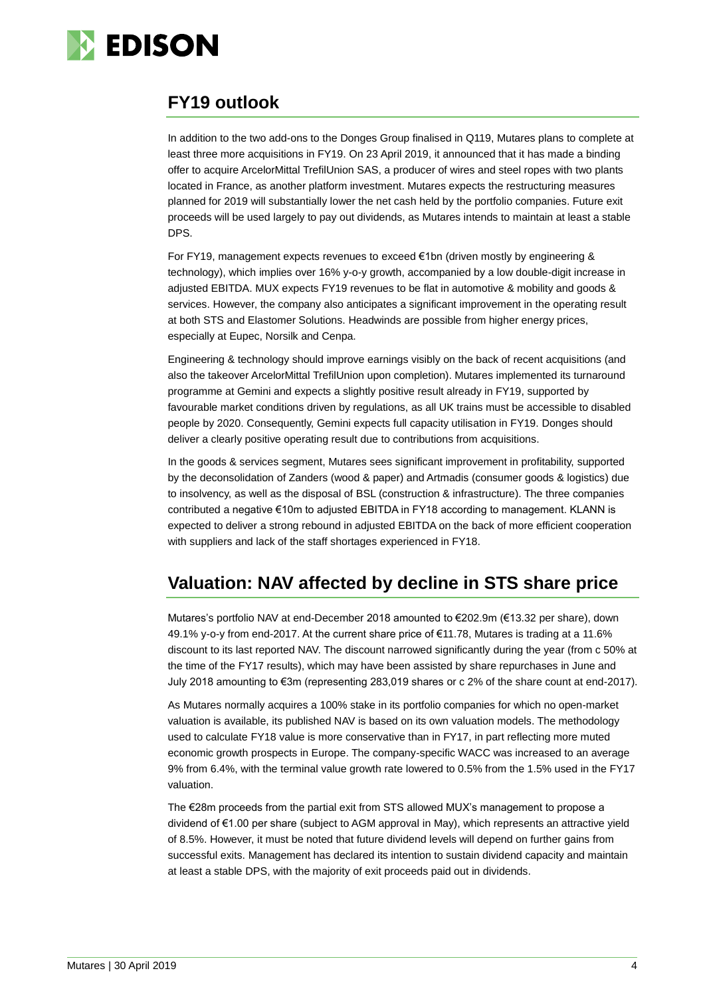

### **FY19 outlook**

In addition to the two add-ons to the Donges Group finalised in Q119, Mutares plans to complete at least three more acquisitions in FY19. On 23 April 2019, it announced that it has made a binding offer to acquire ArcelorMittal TrefilUnion SAS, a producer of wires and steel ropes with two plants located in France, as another platform investment. Mutares expects the restructuring measures planned for 2019 will substantially lower the net cash held by the portfolio companies. Future exit proceeds will be used largely to pay out dividends, as Mutares intends to maintain at least a stable DPS.

For FY19, management expects revenues to exceed €1bn (driven mostly by engineering & technology), which implies over 16% y-o-y growth, accompanied by a low double-digit increase in adjusted EBITDA. MUX expects FY19 revenues to be flat in automotive & mobility and goods & services. However, the company also anticipates a significant improvement in the operating result at both STS and Elastomer Solutions. Headwinds are possible from higher energy prices, especially at Eupec, Norsilk and Cenpa.

Engineering & technology should improve earnings visibly on the back of recent acquisitions (and also the takeover ArcelorMittal TrefilUnion upon completion). Mutares implemented its turnaround programme at Gemini and expects a slightly positive result already in FY19, supported by favourable market conditions driven by regulations, as all UK trains must be accessible to disabled people by 2020. Consequently, Gemini expects full capacity utilisation in FY19. Donges should deliver a clearly positive operating result due to contributions from acquisitions.

In the goods & services segment, Mutares sees significant improvement in profitability, supported by the deconsolidation of Zanders (wood & paper) and Artmadis (consumer goods & logistics) due to insolvency, as well as the disposal of BSL (construction & infrastructure). The three companies contributed a negative €10m to adjusted EBITDA in FY18 according to management. KLANN is expected to deliver a strong rebound in adjusted EBITDA on the back of more efficient cooperation with suppliers and lack of the staff shortages experienced in FY18.

### **Valuation: NAV affected by decline in STS share price**

Mutares's portfolio NAV at end-December 2018 amounted to €202.9m (€13.32 per share), down 49.1% y-o-y from end-2017. At the current share price of €11.78, Mutares is trading at a 11.6% discount to its last reported NAV. The discount narrowed significantly during the year (from c 50% at the time of the FY17 results), which may have been assisted by share repurchases in June and July 2018 amounting to €3m (representing 283,019 shares or c 2% of the share count at end-2017).

As Mutares normally acquires a 100% stake in its portfolio companies for which no open-market valuation is available, its published NAV is based on its own valuation models. The methodology used to calculate FY18 value is more conservative than in FY17, in part reflecting more muted economic growth prospects in Europe. The company-specific WACC was increased to an average 9% from 6.4%, with the terminal value growth rate lowered to 0.5% from the 1.5% used in the FY17 valuation.

The €28m proceeds from the partial exit from STS allowed MUX's management to propose a dividend of €1.00 per share (subject to AGM approval in May), which represents an attractive yield of 8.5%. However, it must be noted that future dividend levels will depend on further gains from successful exits. Management has declared its intention to sustain dividend capacity and maintain at least a stable DPS, with the majority of exit proceeds paid out in dividends.